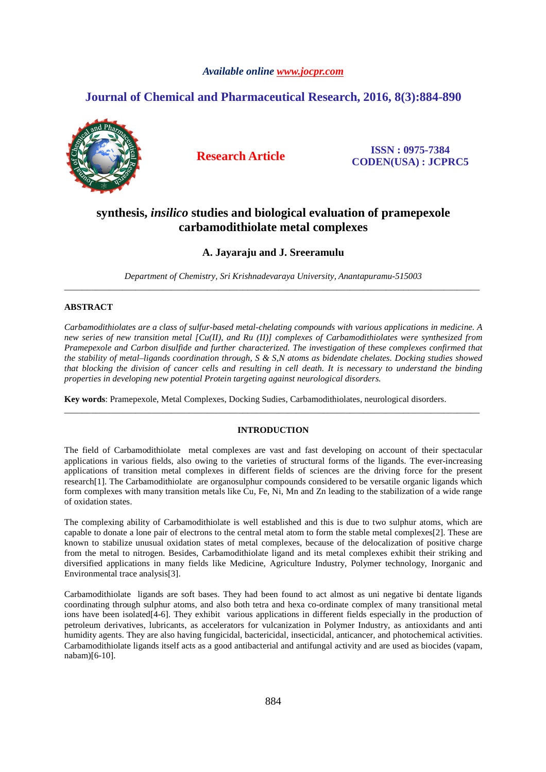# *Available online www.jocpr.com*

# **Journal of Chemical and Pharmaceutical Research, 2016, 8(3):884-890**



**Research Article ISSN : 0975-7384 CODEN(USA) : JCPRC5**

# **synthesis,** *insilico* **studies and biological evaluation of pramepexole carbamodithiolate metal complexes**

# **A. Jayaraju and J. Sreeramulu**

*Department of Chemistry, Sri Krishnadevaraya University, Anantapuramu-515003*  \_\_\_\_\_\_\_\_\_\_\_\_\_\_\_\_\_\_\_\_\_\_\_\_\_\_\_\_\_\_\_\_\_\_\_\_\_\_\_\_\_\_\_\_\_\_\_\_\_\_\_\_\_\_\_\_\_\_\_\_\_\_\_\_\_\_\_\_\_\_\_\_\_\_\_\_\_\_\_\_\_\_\_\_\_\_\_\_\_\_\_\_\_

# **ABSTRACT**

*Carbamodithiolates are a class of sulfur-based metal-chelating compounds with various applications in medicine. A new series of new transition metal [Cu(II), and Ru (II)] complexes of Carbamodithiolates were synthesized from Pramepexole and Carbon disulfide and further characterized. The investigation of these complexes confirmed that the stability of metal–ligands coordination through, S & S,N atoms as bidendate chelates. Docking studies showed that blocking the division of cancer cells and resulting in cell death. It is necessary to understand the binding properties in developing new potential Protein targeting against neurological disorders.* 

**Key words**: Pramepexole, Metal Complexes, Docking Sudies, Carbamodithiolates, neurological disorders.

## **INTRODUCTION**

\_\_\_\_\_\_\_\_\_\_\_\_\_\_\_\_\_\_\_\_\_\_\_\_\_\_\_\_\_\_\_\_\_\_\_\_\_\_\_\_\_\_\_\_\_\_\_\_\_\_\_\_\_\_\_\_\_\_\_\_\_\_\_\_\_\_\_\_\_\_\_\_\_\_\_\_\_\_\_\_\_\_\_\_\_\_\_\_\_\_\_\_\_

The field of Carbamodithiolate metal complexes are vast and fast developing on account of their spectacular applications in various fields, also owing to the varieties of structural forms of the ligands. The ever-increasing applications of transition metal complexes in different fields of sciences are the driving force for the present research[1]. The Carbamodithiolate are organosulphur compounds considered to be versatile organic ligands which form complexes with many transition metals like Cu, Fe, Ni, Mn and Zn leading to the stabilization of a wide range of oxidation states.

The complexing ability of Carbamodithiolate is well established and this is due to two sulphur atoms, which are capable to donate a lone pair of electrons to the central metal atom to form the stable metal complexes[2]. These are known to stabilize unusual oxidation states of metal complexes, because of the delocalization of positive charge from the metal to nitrogen. Besides, Carbamodithiolate ligand and its metal complexes exhibit their striking and diversified applications in many fields like Medicine, Agriculture Industry, Polymer technology, Inorganic and Environmental trace analysis[3].

Carbamodithiolate ligands are soft bases. They had been found to act almost as uni negative bi dentate ligands coordinating through sulphur atoms, and also both tetra and hexa co-ordinate complex of many transitional metal ions have been isolated[4-6]. They exhibit various applications in different fields especially in the production of petroleum derivatives, lubricants, as accelerators for vulcanization in Polymer Industry, as antioxidants and anti humidity agents. They are also having fungicidal, bactericidal, insecticidal, anticancer, and photochemical activities. Carbamodithiolate ligands itself acts as a good antibacterial and antifungal activity and are used as biocides (vapam, nabam)[6-10].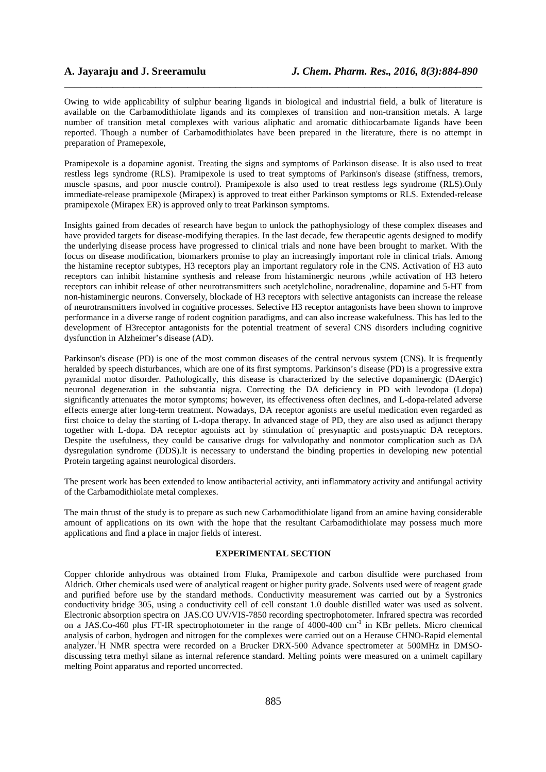Owing to wide applicability of sulphur bearing ligands in biological and industrial field, a bulk of literature is available on the Carbamodithiolate ligands and its complexes of transition and non-transition metals. A large number of transition metal complexes with various aliphatic and aromatic dithiocarbamate ligands have been reported. Though a number of Carbamodithiolates have been prepared in the literature, there is no attempt in preparation of Pramepexole,

\_\_\_\_\_\_\_\_\_\_\_\_\_\_\_\_\_\_\_\_\_\_\_\_\_\_\_\_\_\_\_\_\_\_\_\_\_\_\_\_\_\_\_\_\_\_\_\_\_\_\_\_\_\_\_\_\_\_\_\_\_\_\_\_\_\_\_\_\_\_\_\_\_\_\_\_\_\_

Pramipexole is a dopamine agonist. Treating the signs and symptoms of Parkinson disease. It is also used to treat restless legs syndrome (RLS). Pramipexole is used to treat symptoms of Parkinson's disease (stiffness, tremors, muscle spasms, and poor muscle control). Pramipexole is also used to treat restless legs syndrome (RLS).Only immediate-release pramipexole (Mirapex) is approved to treat either Parkinson symptoms or RLS. Extended-release pramipexole (Mirapex ER) is approved only to treat Parkinson symptoms.

Insights gained from decades of research have begun to unlock the pathophysiology of these complex diseases and have provided targets for disease-modifying therapies. In the last decade, few therapeutic agents designed to modify the underlying disease process have progressed to clinical trials and none have been brought to market. With the focus on disease modification, biomarkers promise to play an increasingly important role in clinical trials. Among the histamine receptor subtypes, H3 receptors play an important regulatory role in the CNS. Activation of H3 auto receptors can inhibit histamine synthesis and release from histaminergic neurons ,while activation of H3 hetero receptors can inhibit release of other neurotransmitters such acetylcholine, noradrenaline, dopamine and 5-HT from non-histaminergic neurons. Conversely, blockade of H3 receptors with selective antagonists can increase the release of neurotransmitters involved in cognitive processes. Selective H3 receptor antagonists have been shown to improve performance in a diverse range of rodent cognition paradigms, and can also increase wakefulness. This has led to the development of H3receptor antagonists for the potential treatment of several CNS disorders including cognitive dysfunction in Alzheimer's disease (AD).

Parkinson's disease (PD) is one of the most common diseases of the central nervous system (CNS). It is frequently heralded by speech disturbances, which are one of its first symptoms. Parkinson's disease (PD) is a progressive extra pyramidal motor disorder. Pathologically, this disease is characterized by the selective dopaminergic (DAergic) neuronal degeneration in the substantia nigra. Correcting the DA deficiency in PD with levodopa (Ldopa) significantly attenuates the motor symptoms; however, its effectiveness often declines, and L-dopa-related adverse effects emerge after long-term treatment. Nowadays, DA receptor agonists are useful medication even regarded as first choice to delay the starting of L-dopa therapy. In advanced stage of PD, they are also used as adjunct therapy together with L-dopa. DA receptor agonists act by stimulation of presynaptic and postsynaptic DA receptors. Despite the usefulness, they could be causative drugs for valvulopathy and nonmotor complication such as DA dysregulation syndrome (DDS).It is necessary to understand the binding properties in developing new potential Protein targeting against neurological disorders.

The present work has been extended to know antibacterial activity, anti inflammatory activity and antifungal activity of the Carbamodithiolate metal complexes.

The main thrust of the study is to prepare as such new Carbamodithiolate ligand from an amine having considerable amount of applications on its own with the hope that the resultant Carbamodithiolate may possess much more applications and find a place in major fields of interest.

### **EXPERIMENTAL SECTION**

Copper chloride anhydrous was obtained from Fluka, Pramipexole and carbon disulfide were purchased from Aldrich. Other chemicals used were of analytical reagent or higher purity grade. Solvents used were of reagent grade and purified before use by the standard methods. Conductivity measurement was carried out by a Systronics conductivity bridge 305, using a conductivity cell of cell constant 1.0 double distilled water was used as solvent. Electronic absorption spectra on JAS.CO UV/VIS-7850 recording spectrophotometer. Infrared spectra was recorded on a JAS.Co-460 plus FT-IR spectrophotometer in the range of  $4000-400$  cm<sup>-1</sup> in KBr pellets. Micro chemical analysis of carbon, hydrogen and nitrogen for the complexes were carried out on a Herause CHNO-Rapid elemental analyzer.<sup>1</sup>H NMR spectra were recorded on a Brucker DRX-500 Advance spectrometer at 500MHz in DMSOdiscussing tetra methyl silane as internal reference standard. Melting points were measured on a unimelt capillary melting Point apparatus and reported uncorrected.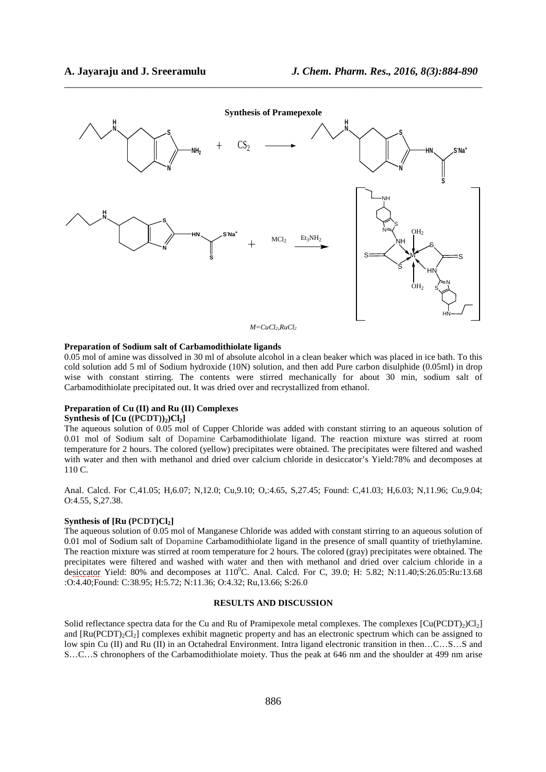

\_\_\_\_\_\_\_\_\_\_\_\_\_\_\_\_\_\_\_\_\_\_\_\_\_\_\_\_\_\_\_\_\_\_\_\_\_\_\_\_\_\_\_\_\_\_\_\_\_\_\_\_\_\_\_\_\_\_\_\_\_\_\_\_\_\_\_\_\_\_\_\_\_\_\_\_\_\_

# **Preparation of Sodium salt of Carbamodithiolate ligands**

0.05 mol of amine was dissolved in 30 ml of absolute alcohol in a clean beaker which was placed in ice bath. To this cold solution add 5 ml of Sodium hydroxide (10N) solution, and then add Pure carbon disulphide (0.05ml) in drop wise with constant stirring. The contents were stirred mechanically for about 30 min, sodium salt of Carbamodithiolate precipitated out. It was dried over and recrystallized from ethanol.

#### **Preparation of Cu (II) and Ru (II) Complexes**

#### **Synthesis of**  $[Cu ((PCDT))_2)Cl_2$

The aqueous solution of 0.05 mol of Cupper Chloride was added with constant stirring to an aqueous solution of 0.01 mol of Sodium salt of Dopamine Carbamodithiolate ligand. The reaction mixture was stirred at room temperature for 2 hours. The colored (yellow) precipitates were obtained. The precipitates were filtered and washed with water and then with methanol and dried over calcium chloride in desiccator's Yield:78% and decomposes at 110 C.

Anal. Calcd. For C,41.05; H,6.07; N,12.0; Cu,9.10; O,:4.65, S,27.45; Found: C,41.03; H,6.03; N,11.96; Cu,9.04; O:4.55, S,27.38.

#### **Synthesis of [Ru (PCDT)Cl2]**

The aqueous solution of 0.05 mol of Manganese Chloride was added with constant stirring to an aqueous solution of 0.01 mol of Sodium salt of Dopamine Carbamodithiolate ligand in the presence of small quantity of triethylamine. The reaction mixture was stirred at room temperature for 2 hours. The colored (gray) precipitates were obtained. The precipitates were filtered and washed with water and then with methanol and dried over calcium chloride in a desiccator Yield: 80% and decomposes at  $110^{\circ}$ C. Anal. Calcd. For C, 39.0; H: 5.82; N:11.40;S:26.05:Ru:13.68 :O:4.40;Found: C:38.95; H:5.72; N:11.36; O:4.32; Ru,13.66; S:26.0

#### **RESULTS AND DISCUSSION**

Solid reflectance spectra data for the Cu and Ru of Pramipexole metal complexes. The complexes  $[Cu(PCDT),C1]$ and  $[Ru(PCDT)<sub>2</sub>Cl<sub>2</sub>]$  complexes exhibit magnetic property and has an electronic spectrum which can be assigned to low spin Cu (II) and Ru (II) in an Octahedral Environment. Intra ligand electronic transition in then…C…S…S and S…C…S chronophers of the Carbamodithiolate moiety. Thus the peak at 646 nm and the shoulder at 499 nm arise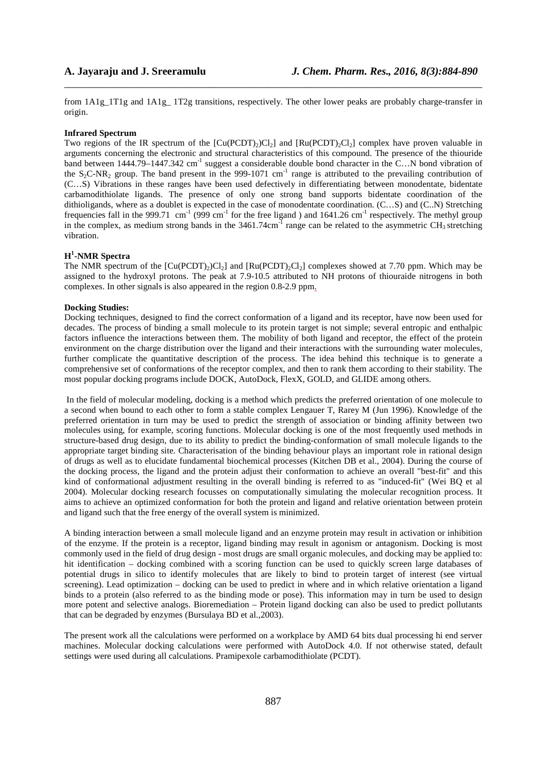from 1A1g\_1T1g and 1A1g\_ 1T2g transitions, respectively. The other lower peaks are probably charge-transfer in origin.

\_\_\_\_\_\_\_\_\_\_\_\_\_\_\_\_\_\_\_\_\_\_\_\_\_\_\_\_\_\_\_\_\_\_\_\_\_\_\_\_\_\_\_\_\_\_\_\_\_\_\_\_\_\_\_\_\_\_\_\_\_\_\_\_\_\_\_\_\_\_\_\_\_\_\_\_\_\_

# **Infrared Spectrum**

Two regions of the IR spectrum of the  $\left[\text{Cu}(\text{PCDT})_2\text{Cl}_2\right]$  and  $\left[\text{Ru}(\text{PCDT})_2\text{Cl}_2\right]$  complex have proven valuable in arguments concerning the electronic and structural characteristics of this compound. The presence of the thiouride band between 1444.79–1447.342 cm<sup>-1</sup> suggest a considerable double bond character in the C…N bond vibration of the  $S_2C-NR_2$  group. The band present in the 999-1071 cm<sup>-1</sup> range is attributed to the prevailing contribution of (C…S) Vibrations in these ranges have been used defectively in differentiating between monodentate, bidentate carbamodithiolate ligands. The presence of only one strong band supports bidentate coordination of the dithioligands, where as a doublet is expected in the case of monodentate coordination. (C...S) and (C..N) Stretching frequencies fall in the 999.71 cm<sup>-1</sup> (999 cm<sup>-1</sup> for the free ligand ) and 1641.26 cm<sup>-1</sup> respectively. The methyl group in the complex, as medium strong bands in the  $3461.74 \text{cm}^{-1}$  range can be related to the asymmetric CH<sub>3</sub> stretching vibration.

# **H 1 -NMR Spectra**

The NMR spectrum of the  $[Cu(PCDT)<sub>2</sub>)C1<sub>2</sub>$  and  $[Ru(PCDT)<sub>2</sub>C1<sub>2</sub>]$  complexes showed at 7.70 ppm. Which may be assigned to the hydroxyl protons. The peak at 7.9-10.5 attributed to NH protons of thiouraide nitrogens in both complexes. In other signals is also appeared in the region 0.8-2.9 ppm.

#### **Docking Studies:**

Docking techniques, designed to find the correct conformation of a ligand and its receptor, have now been used for decades. The process of binding a small molecule to its protein target is not simple; several entropic and enthalpic factors influence the interactions between them. The mobility of both ligand and receptor, the effect of the protein environment on the charge distribution over the ligand and their interactions with the surrounding water molecules, further complicate the quantitative description of the process. The idea behind this technique is to generate a comprehensive set of conformations of the receptor complex, and then to rank them according to their stability. The most popular docking programs include DOCK, AutoDock, FlexX, GOLD, and GLIDE among others.

 In the field of molecular modeling, docking is a method which predicts the preferred orientation of one molecule to a second when bound to each other to form a stable complex Lengauer T, Rarey M (Jun 1996). Knowledge of the preferred orientation in turn may be used to predict the strength of association or binding affinity between two molecules using, for example, scoring functions. Molecular docking is one of the most frequently used methods in structure-based drug design, due to its ability to predict the binding-conformation of small molecule ligands to the appropriate target binding site. Characterisation of the binding behaviour plays an important role in rational design of drugs as well as to elucidate fundamental biochemical processes (Kitchen DB et al., 2004). During the course of the docking process, the ligand and the protein adjust their conformation to achieve an overall "best-fit" and this kind of conformational adjustment resulting in the overall binding is referred to as "induced-fit" (Wei BQ et al 2004). Molecular docking research focusses on computationally simulating the molecular recognition process. It aims to achieve an optimized conformation for both the protein and ligand and relative orientation between protein and ligand such that the free energy of the overall system is minimized.

A binding interaction between a small molecule ligand and an enzyme protein may result in activation or inhibition of the enzyme. If the protein is a receptor, ligand binding may result in agonism or antagonism. Docking is most commonly used in the field of drug design - most drugs are small organic molecules, and docking may be applied to: hit identification – docking combined with a scoring function can be used to quickly screen large databases of potential drugs in silico to identify molecules that are likely to bind to protein target of interest (see virtual screening). Lead optimization – docking can be used to predict in where and in which relative orientation a ligand binds to a protein (also referred to as the binding mode or pose). This information may in turn be used to design more potent and selective analogs. Bioremediation – Protein ligand docking can also be used to predict pollutants that can be degraded by enzymes (Bursulaya BD et al.,2003).

The present work all the calculations were performed on a workplace by AMD 64 bits dual processing hi end server machines. Molecular docking calculations were performed with AutoDock 4.0. If not otherwise stated, default settings were used during all calculations. Pramipexole carbamodithiolate (PCDT).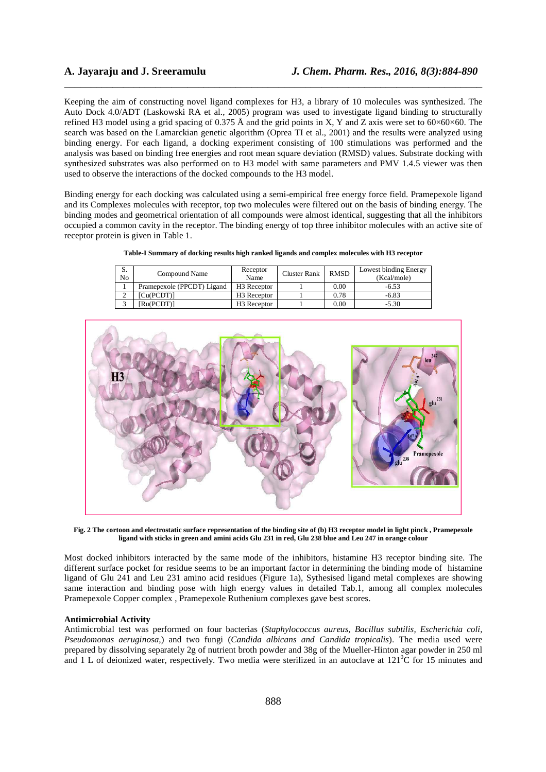Keeping the aim of constructing novel ligand complexes for H3, a library of 10 molecules was synthesized. The Auto Dock 4.0/ADT (Laskowski RA et al., 2005) program was used to investigate ligand binding to structurally refined H3 model using a grid spacing of 0.375 Å and the grid points in X, Y and Z axis were set to  $60\times60\times60$ . The search was based on the Lamarckian genetic algorithm (Oprea TI et al., 2001) and the results were analyzed using binding energy. For each ligand, a docking experiment consisting of 100 stimulations was performed and the analysis was based on binding free energies and root mean square deviation (RMSD) values. Substrate docking with synthesized substrates was also performed on to H3 model with same parameters and PMV 1.4.5 viewer was then used to observe the interactions of the docked compounds to the H3 model.

\_\_\_\_\_\_\_\_\_\_\_\_\_\_\_\_\_\_\_\_\_\_\_\_\_\_\_\_\_\_\_\_\_\_\_\_\_\_\_\_\_\_\_\_\_\_\_\_\_\_\_\_\_\_\_\_\_\_\_\_\_\_\_\_\_\_\_\_\_\_\_\_\_\_\_\_\_\_

Binding energy for each docking was calculated using a semi-empirical free energy force field. Pramepexole ligand and its Complexes molecules with receptor, top two molecules were filtered out on the basis of binding energy. The binding modes and geometrical orientation of all compounds were almost identical, suggesting that all the inhibitors occupied a common cavity in the receptor. The binding energy of top three inhibitor molecules with an active site of receptor protein is given in Table 1.

|  | Table-I Summary of docking results high ranked ligands and complex molecules with H3 receptor |  |
|--|-----------------------------------------------------------------------------------------------|--|
|  |                                                                                               |  |

| D.<br>No | Compound Name              | Receptor<br>Name        | Cluster Rank | <b>RMSD</b> | Lowest binding Energy<br>(Kcal/mole) |  |
|----------|----------------------------|-------------------------|--------------|-------------|--------------------------------------|--|
|          | Pramepexole (PPCDT) Ligand | H <sub>3</sub> Receptor |              | 0.00        | $-6.53$                              |  |
|          | Cu(PCDT)1                  | H <sub>3</sub> Receptor |              | 0.78        | $-6.83$                              |  |
|          | Ru(PCDT)]                  | H <sub>3</sub> Receptor |              | 0.00        | $-5.30$                              |  |



**Fig. 2 The cortoon and electrostatic surface representation of the binding site of (b) H3 receptor model in light pinck , Pramepexole ligand with sticks in green and amini acids Glu 231 in red, Glu 238 blue and Leu 247 in orange colour**

Most docked inhibitors interacted by the same mode of the inhibitors, histamine H3 receptor binding site. The different surface pocket for residue seems to be an important factor in determining the binding mode of histamine ligand of Glu 241 and Leu 231 amino acid residues (Figure 1a), Sythesised ligand metal complexes are showing same interaction and binding pose with high energy values in detailed Tab.1, among all complex molecules Pramepexole Copper complex , Pramepexole Ruthenium complexes gave best scores.

### **Antimicrobial Activity**

Antimicrobial test was performed on four bacterias (*Staphylococcus aureus, Bacillus subtilis, Escherichia coli, Pseudomonas aeruginosa,*) and two fungi (*Candida albicans and Candida tropicalis*). The media used were prepared by dissolving separately 2g of nutrient broth powder and 38g of the Mueller-Hinton agar powder in 250 ml and 1 L of deionized water, respectively. Two media were sterilized in an autoclave at  $121^{\circ}$ C for 15 minutes and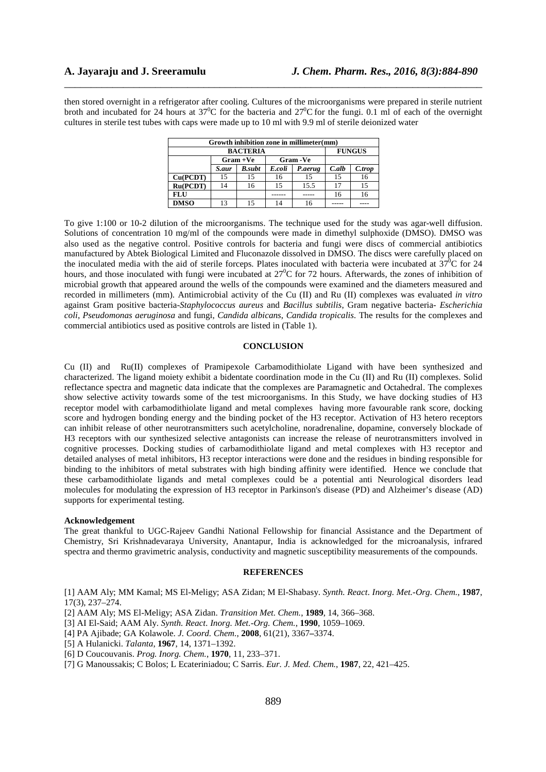then stored overnight in a refrigerator after cooling. Cultures of the microorganisms were prepared in sterile nutrient broth and incubated for 24 hours at  $37^{\circ}$ C for the bacteria and  $27^{\circ}$ C for the fungi. 0.1 ml of each of the overnight cultures in sterile test tubes with caps were made up to 10 ml with 9.9 ml of sterile deionized water

\_\_\_\_\_\_\_\_\_\_\_\_\_\_\_\_\_\_\_\_\_\_\_\_\_\_\_\_\_\_\_\_\_\_\_\_\_\_\_\_\_\_\_\_\_\_\_\_\_\_\_\_\_\_\_\_\_\_\_\_\_\_\_\_\_\_\_\_\_\_\_\_\_\_\_\_\_\_

| Growth inhibition zone in millimeter(mm) |             |               |           |         |          |               |  |  |  |
|------------------------------------------|-------------|---------------|-----------|---------|----------|---------------|--|--|--|
| <b>BACTERIA</b>                          |             |               |           |         |          | <b>FUNGUS</b> |  |  |  |
|                                          | $Gram + Ve$ |               | Gram - Ve |         |          |               |  |  |  |
|                                          | S.aur       | <b>B.subt</b> | E.coli    | P.aerug | $C.$ alb | C.trop        |  |  |  |
| Cu(PCDT)                                 | 15          | 15            | 16        | 15      | 15       | 16            |  |  |  |
| Ru(PCDT)                                 | 14          | 16            | 15        | 15.5    |          | 15            |  |  |  |
| <b>FLU</b>                               |             |               |           |         | 16       | 16            |  |  |  |
| <b>DMSO</b>                              | 13          | 15            | 14        |         |          |               |  |  |  |

To give 1:100 or 10-2 dilution of the microorganisms. The technique used for the study was agar-well diffusion. Solutions of concentration 10 mg/ml of the compounds were made in dimethyl sulphoxide (DMSO). DMSO was also used as the negative control. Positive controls for bacteria and fungi were discs of commercial antibiotics manufactured by Abtek Biological Limited and Fluconazole dissolved in DMSO. The discs were carefully placed on the inoculated media with the aid of sterile forceps. Plates inoculated with bacteria were incubated at  $37^{\circ}$ C for 24 hours, and those inoculated with fungi were incubated at  $27^{\circ}$ C for 72 hours. Afterwards, the zones of inhibition of microbial growth that appeared around the wells of the compounds were examined and the diameters measured and recorded in millimeters (mm). Antimicrobial activity of the Cu (II) and Ru (II) complexes was evaluated *in vitro*  against Gram positive bacteria-*Staphylococcus aureus* and *Bacillus subtilis*, Gram negative bacteria- *Escherichia coli*, *Pseudomonas aeruginosa* and fungi, *Candida albicans*, *Candida tropicalis.* The results for the complexes and commercial antibiotics used as positive controls are listed in (Table 1).

# **CONCLUSION**

Cu (II) and Ru(II) complexes of Pramipexole Carbamodithiolate Ligand with have been synthesized and characterized. The ligand moiety exhibit a bidentate coordination mode in the Cu (II) and Ru (II) complexes. Solid reflectance spectra and magnetic data indicate that the complexes are Paramagnetic and Octahedral. The complexes show selective activity towards some of the test microorganisms. In this Study, we have docking studies of H3 receptor model with carbamodithiolate ligand and metal complexes having more favourable rank score, docking score and hydrogen bonding energy and the binding pocket of the H3 receptor. Activation of H3 hetero receptors can inhibit release of other neurotransmitters such acetylcholine, noradrenaline, dopamine, conversely blockade of H3 receptors with our synthesized selective antagonists can increase the release of neurotransmitters involved in cognitive processes. Docking studies of carbamodithiolate ligand and metal complexes with H3 receptor and detailed analyses of metal inhibitors, H3 receptor interactions were done and the residues in binding responsible for binding to the inhibitors of metal substrates with high binding affinity were identified. Hence we conclude that these carbamodithiolate ligands and metal complexes could be a potential anti Neurological disorders lead molecules for modulating the expression of H3 receptor in Parkinson's disease (PD) and Alzheimer's disease (AD) supports for experimental testing.

#### **Acknowledgement**

The great thankful to UGC-Rajeev Gandhi National Fellowship for financial Assistance and the Department of Chemistry, Sri Krishnadevaraya University, Anantapur, India is acknowledged for the microanalysis, infrared spectra and thermo gravimetric analysis, conductivity and magnetic susceptibility measurements of the compounds.

#### **REFERENCES**

[1] AAM Aly; MM Kamal; MS El-Meligy; ASA Zidan; M El-Shabasy. *Synth. React. Inorg. Met.-Org. Chem.*, **1987**, 17(3), 237–274.

[2] AAM Aly; MS El-Meligy; ASA Zidan. *Transition Met. Chem.*, **1989**, 14, 366–368.

[3] AI El-Said; AAM Aly. *Synth. React. Inorg. Met.-Org. Chem.*, **1990**, 1059–1069.

- [4] PA Ajibade; GA Kolawole. *J. Coord. Chem.*, **2008**, 61(21), 3367**–**3374.
- [5] A Hulanicki. *Talanta*, **1967**, 14, 1371–1392.
- [6] D Coucouvanis. *Prog. Inorg. Chem.*, **1970**, 11, 233–371.

[7] G Manoussakis; C Bolos; L Ecateriniadou; C Sarris. *Eur. J. Med. Chem.*, **1987**, 22, 421–425.